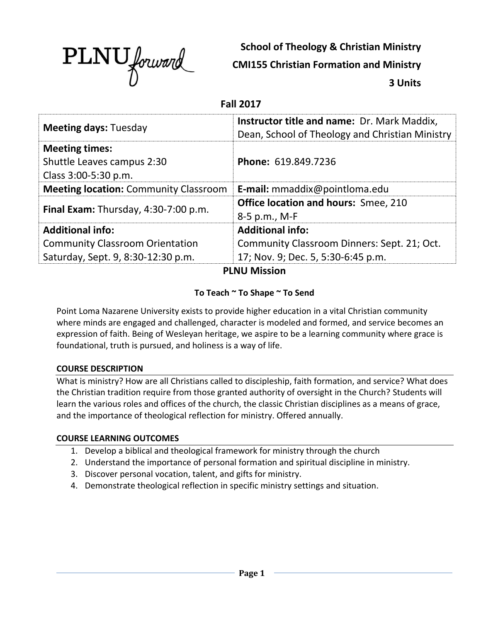

**School of Theology & Christian Ministry**

**CMI155 Christian Formation and Ministry**

**3 Units**

#### **Fall 2017**

| <b>Meeting days: Tuesday</b>                                                | <b>Instructor title and name: Dr. Mark Maddix,</b><br>Dean, School of Theology and Christian Ministry |  |  |  |
|-----------------------------------------------------------------------------|-------------------------------------------------------------------------------------------------------|--|--|--|
| <b>Meeting times:</b><br>Shuttle Leaves campus 2:30<br>Class 3:00-5:30 p.m. | Phone: 619.849.7236                                                                                   |  |  |  |
| <b>Meeting location: Community Classroom</b>                                | E-mail: mmaddix@pointloma.edu                                                                         |  |  |  |
| Final Exam: Thursday, 4:30-7:00 p.m.                                        | <b>Office location and hours: Smee, 210</b><br>8-5 p.m., M-F                                          |  |  |  |
| <b>Additional info:</b>                                                     | <b>Additional info:</b>                                                                               |  |  |  |
| <b>Community Classroom Orientation</b>                                      | Community Classroom Dinners: Sept. 21; Oct.                                                           |  |  |  |
| Saturday, Sept. 9, 8:30-12:30 p.m.                                          | 17; Nov. 9; Dec. 5, 5:30-6:45 p.m.                                                                    |  |  |  |
| <b>PLNU Mission</b>                                                         |                                                                                                       |  |  |  |

### **To Teach ~ To Shape ~ To Send**

Point Loma Nazarene University exists to provide higher education in a vital Christian community where minds are engaged and challenged, character is modeled and formed, and service becomes an expression of faith. Being of Wesleyan heritage, we aspire to be a learning community where grace is foundational, truth is pursued, and holiness is a way of life.

### **COURSE DESCRIPTION**

What is ministry? How are all Christians called to discipleship, faith formation, and service? What does the Christian tradition require from those granted authority of oversight in the Church? Students will learn the various roles and offices of the church, the classic Christian disciplines as a means of grace, and the importance of theological reflection for ministry. Offered annually.

### **COURSE LEARNING OUTCOMES**

- 1. Develop a biblical and theological framework for ministry through the church
- 2. Understand the importance of personal formation and spiritual discipline in ministry.
- 3. Discover personal vocation, talent, and gifts for ministry.
- 4. Demonstrate theological reflection in specific ministry settings and situation.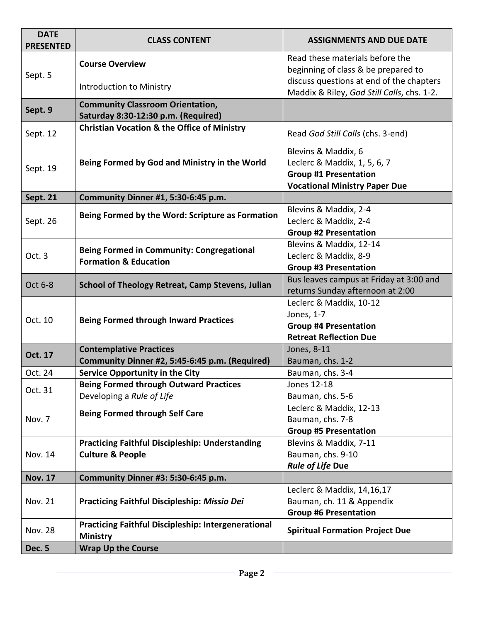| <b>DATE</b><br><b>PRESENTED</b> | <b>CLASS CONTENT</b>                                                           | <b>ASSIGNMENTS AND DUE DATE</b>                                                                                             |  |  |
|---------------------------------|--------------------------------------------------------------------------------|-----------------------------------------------------------------------------------------------------------------------------|--|--|
| Sept. 5                         | <b>Course Overview</b>                                                         | Read these materials before the<br>beginning of class & be prepared to                                                      |  |  |
|                                 | Introduction to Ministry                                                       | discuss questions at end of the chapters<br>Maddix & Riley, God Still Calls, chs. 1-2.                                      |  |  |
| Sept. 9                         | <b>Community Classroom Orientation,</b><br>Saturday 8:30-12:30 p.m. (Required) |                                                                                                                             |  |  |
| Sept. 12                        | <b>Christian Vocation &amp; the Office of Ministry</b>                         | Read God Still Calls (chs. 3-end)                                                                                           |  |  |
| Sept. 19                        | Being Formed by God and Ministry in the World                                  | Blevins & Maddix, 6<br>Leclerc & Maddix, 1, 5, 6, 7<br><b>Group #1 Presentation</b><br><b>Vocational Ministry Paper Due</b> |  |  |
| <b>Sept. 21</b>                 | Community Dinner #1, 5:30-6:45 p.m.                                            |                                                                                                                             |  |  |
| Sept. 26                        | Being Formed by the Word: Scripture as Formation                               | Blevins & Maddix, 2-4<br>Leclerc & Maddix, 2-4<br><b>Group #2 Presentation</b>                                              |  |  |
| Oct. 3                          | Being Formed in Community: Congregational<br><b>Formation &amp; Education</b>  | Blevins & Maddix, 12-14<br>Leclerc & Maddix, 8-9<br><b>Group #3 Presentation</b>                                            |  |  |
| Oct 6-8                         | <b>School of Theology Retreat, Camp Stevens, Julian</b>                        | Bus leaves campus at Friday at 3:00 and<br>returns Sunday afternoon at 2:00                                                 |  |  |
| Oct. 10                         | <b>Being Formed through Inward Practices</b>                                   | Leclerc & Maddix, 10-12<br>Jones, 1-7<br><b>Group #4 Presentation</b><br><b>Retreat Reflection Due</b>                      |  |  |
| <b>Oct. 17</b>                  | <b>Contemplative Practices</b>                                                 | Jones, 8-11                                                                                                                 |  |  |
|                                 | Community Dinner #2, 5:45-6:45 p.m. (Required)                                 | Bauman, chs. 1-2                                                                                                            |  |  |
| Oct. 24                         | <b>Service Opportunity in the City</b>                                         | Bauman, chs. 3-4                                                                                                            |  |  |
| Oct. 31                         | <b>Being Formed through Outward Practices</b><br>Developing a Rule of Life     | Jones 12-18<br>Bauman, chs. 5-6                                                                                             |  |  |
| Nov. 7                          | <b>Being Formed through Self Care</b>                                          | Leclerc & Maddix, 12-13<br>Bauman, chs. 7-8                                                                                 |  |  |
|                                 |                                                                                | <b>Group #5 Presentation</b>                                                                                                |  |  |
|                                 | <b>Practicing Faithful Discipleship: Understanding</b>                         | Blevins & Maddix, 7-11                                                                                                      |  |  |
| Nov. 14                         | <b>Culture &amp; People</b>                                                    | Bauman, chs. 9-10                                                                                                           |  |  |
|                                 |                                                                                | <b>Rule of Life Due</b>                                                                                                     |  |  |
| <b>Nov. 17</b>                  | Community Dinner #3: 5:30-6:45 p.m.                                            |                                                                                                                             |  |  |
| Nov. 21                         | <b>Practicing Faithful Discipleship: Missio Dei</b>                            | Leclerc & Maddix, 14, 16, 17<br>Bauman, ch. 11 & Appendix                                                                   |  |  |
|                                 |                                                                                | <b>Group #6 Presentation</b>                                                                                                |  |  |
| <b>Nov. 28</b>                  | <b>Practicing Faithful Discipleship: Intergenerational</b><br><b>Ministry</b>  | <b>Spiritual Formation Project Due</b>                                                                                      |  |  |
| <b>Dec. 5</b>                   | <b>Wrap Up the Course</b>                                                      |                                                                                                                             |  |  |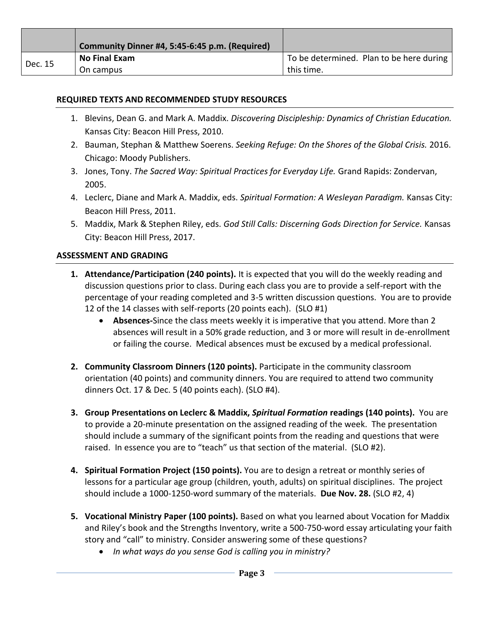|         | Community Dinner #4, 5:45-6:45 p.m. (Required) |                                          |
|---------|------------------------------------------------|------------------------------------------|
| Dec. 15 | <b>No Final Exam</b>                           | To be determined. Plan to be here during |
|         | On campus                                      | this time.                               |

### **REQUIRED TEXTS AND RECOMMENDED STUDY RESOURCES**

- 1. Blevins, Dean G. and Mark A. Maddix. *Discovering Discipleship: Dynamics of Christian Education.*  Kansas City: Beacon Hill Press, 2010.
- 2. Bauman, Stephan & Matthew Soerens. *Seeking Refuge: On the Shores of the Global Crisis.* 2016. Chicago: Moody Publishers.
- 3. Jones, Tony. *The Sacred Way: Spiritual Practices for Everyday Life.* Grand Rapids: Zondervan, 2005.
- 4. Leclerc, Diane and Mark A. Maddix, eds. *Spiritual Formation: A Wesleyan Paradigm.* Kansas City: Beacon Hill Press, 2011.
- 5. Maddix, Mark & Stephen Riley, eds. *God Still Calls: Discerning Gods Direction for Service.* Kansas City: Beacon Hill Press, 2017.

#### **ASSESSMENT AND GRADING**

- **1. Attendance/Participation (240 points).** It is expected that you will do the weekly reading and discussion questions prior to class. During each class you are to provide a self-report with the percentage of your reading completed and 3-5 written discussion questions. You are to provide 12 of the 14 classes with self-reports (20 points each). (SLO #1)
	- **Absences-**Since the class meets weekly it is imperative that you attend. More than 2 absences will result in a 50% grade reduction, and 3 or more will result in de-enrollment or failing the course. Medical absences must be excused by a medical professional.
- **2. Community Classroom Dinners (120 points).** Participate in the community classroom orientation (40 points) and community dinners. You are required to attend two community dinners Oct. 17 & Dec. 5 (40 points each). (SLO #4).
- **3. Group Presentations on Leclerc & Maddix,** *Spiritual Formation* **readings (140 points).** You are to provide a 20-minute presentation on the assigned reading of the week. The presentation should include a summary of the significant points from the reading and questions that were raised. In essence you are to "teach" us that section of the material. (SLO #2).
- **4. Spiritual Formation Project (150 points).** You are to design a retreat or monthly series of lessons for a particular age group (children, youth, adults) on spiritual disciplines. The project should include a 1000-1250-word summary of the materials. **Due Nov. 28.** (SLO #2, 4)
- **5. Vocational Ministry Paper (100 points).** Based on what you learned about Vocation for Maddix and Riley's book and the Strengths Inventory, write a 500-750-word essay articulating your faith story and "call" to ministry. Consider answering some of these questions?
	- *In what ways do you sense God is calling you in ministry?*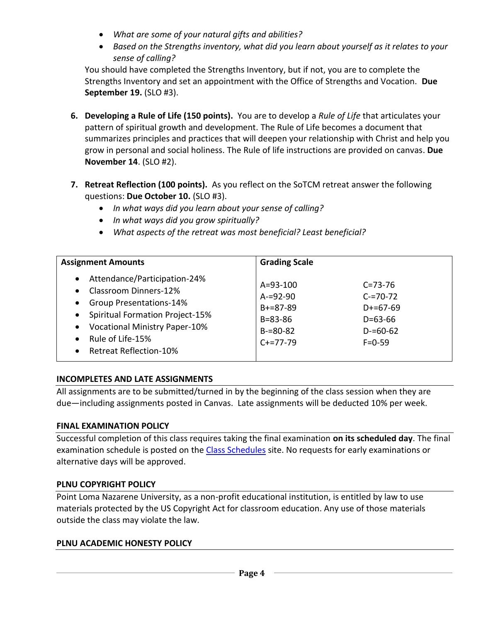- *What are some of your natural gifts and abilities?*
- *Based on the Strengths inventory, what did you learn about yourself as it relates to your sense of calling?*

You should have completed the Strengths Inventory, but if not, you are to complete the Strengths Inventory and set an appointment with the Office of Strengths and Vocation. **Due September 19.** (SLO #3).

- **6. Developing a Rule of Life (150 points).** You are to develop a *Rule of Life* that articulates your pattern of spiritual growth and development. The Rule of Life becomes a document that summarizes principles and practices that will deepen your relationship with Christ and help you grow in personal and social holiness. The Rule of life instructions are provided on canvas. **Due November 14**. (SLO #2).
- **7. Retreat Reflection (100 points).** As you reflect on the SoTCM retreat answer the following questions: **Due October 10.** (SLO #3).
	- *In what ways did you learn about your sense of calling?*
	- *In what ways did you grow spiritually?*
	- *What aspects of the retreat was most beneficial? Least beneficial?*

| <b>Assignment Amounts</b>                                                                                                                                                                                                                                                                                                 | <b>Grading Scale</b>                                                                                                                                                                                 |
|---------------------------------------------------------------------------------------------------------------------------------------------------------------------------------------------------------------------------------------------------------------------------------------------------------------------------|------------------------------------------------------------------------------------------------------------------------------------------------------------------------------------------------------|
| Attendance/Participation-24%<br>$\bullet$<br>Classroom Dinners-12%<br>$\bullet$<br><b>Group Presentations-14%</b><br>$\bullet$<br><b>Spiritual Formation Project-15%</b><br>$\bullet$<br><b>Vocational Ministry Paper-10%</b><br>$\bullet$<br>Rule of Life-15%<br>$\bullet$<br><b>Retreat Reflection-10%</b><br>$\bullet$ | $A = 93 - 100$<br>$C = 73 - 76$<br>$A = 92 - 90$<br>$C = 70 - 72$<br>$B + = 87 - 89$<br>$D+ = 67-69$<br>$B = 83 - 86$<br>$D = 63 - 66$<br>$B = 80 - 82$<br>$D = 60 - 62$<br>$C+=77-79$<br>$F = 0.59$ |

### **INCOMPLETES AND LATE ASSIGNMENTS**

All assignments are to be submitted/turned in by the beginning of the class session when they are due—including assignments posted in Canvas. Late assignments will be deducted 10% per week.

### **FINAL EXAMINATION POLICY**

Successful completion of this class requires taking the final examination **on its scheduled day**. The final examination schedule is posted on the [Class Schedules](http://www.pointloma.edu/experience/academics/class-schedules) site. No requests for early examinations or alternative days will be approved.

### **PLNU COPYRIGHT POLICY**

Point Loma Nazarene University, as a non-profit educational institution, is entitled by law to use materials protected by the US Copyright Act for classroom education. Any use of those materials outside the class may violate the law.

### **PLNU ACADEMIC HONESTY POLICY**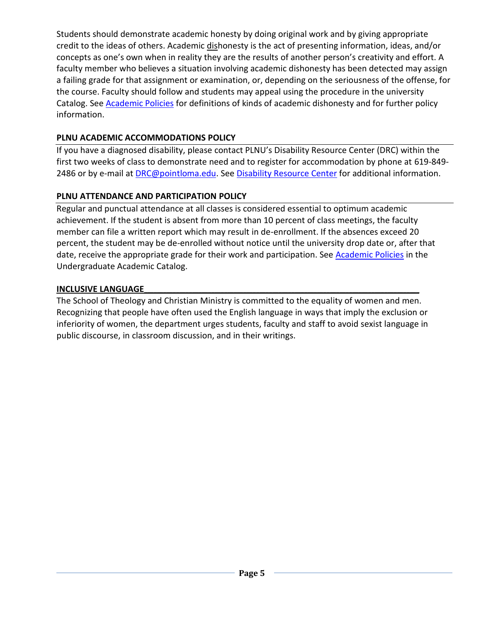Students should demonstrate academic honesty by doing original work and by giving appropriate credit to the ideas of others. Academic dishonesty is the act of presenting information, ideas, and/or concepts as one's own when in reality they are the results of another person's creativity and effort. A faculty member who believes a situation involving academic dishonesty has been detected may assign a failing grade for that assignment or examination, or, depending on the seriousness of the offense, for the course. Faculty should follow and students may appeal using the procedure in the university Catalog. See **Academic Policies** for definitions of kinds of academic dishonesty and for further policy information.

## **PLNU ACADEMIC ACCOMMODATIONS POLICY**

If you have a diagnosed disability, please contact PLNU's Disability Resource Center (DRC) within the first two weeks of class to demonstrate need and to register for accommodation by phone at 619-849- 2486 or by e-mail at [DRC@pointloma.edu.](mailto:DRC@pointloma.edu) See [Disability Resource Center](http://www.pointloma.edu/experience/offices/administrative-offices/academic-advising-office/disability-resource-center) for additional information.

# **PLNU ATTENDANCE AND PARTICIPATION POLICY**

Regular and punctual attendance at all classes is considered essential to optimum academic achievement. If the student is absent from more than 10 percent of class meetings, the faculty member can file a written report which may result in de-enrollment. If the absences exceed 20 percent, the student may be de-enrolled without notice until the university drop date or, after that date, receive the appropriate grade for their work and participation. See **Academic Policies** in the Undergraduate Academic Catalog.

# **INCLUSIVE LANGUAGE\_\_\_\_\_\_\_\_\_\_\_\_\_\_\_\_\_\_\_\_\_\_\_\_\_\_\_\_\_\_\_\_\_\_\_\_\_\_\_\_\_\_\_\_\_\_\_\_\_\_\_\_\_\_\_\_\_\_\_\_\_\_\_\_\_\_\_\_\_\_\_\_\_\_\_\_\_\_\_\_\_\_\_\_\_\_**

The School of Theology and Christian Ministry is committed to the equality of women and men. Recognizing that people have often used the English language in ways that imply the exclusion or inferiority of women, the department urges students, faculty and staff to avoid sexist language in public discourse, in classroom discussion, and in their writings.